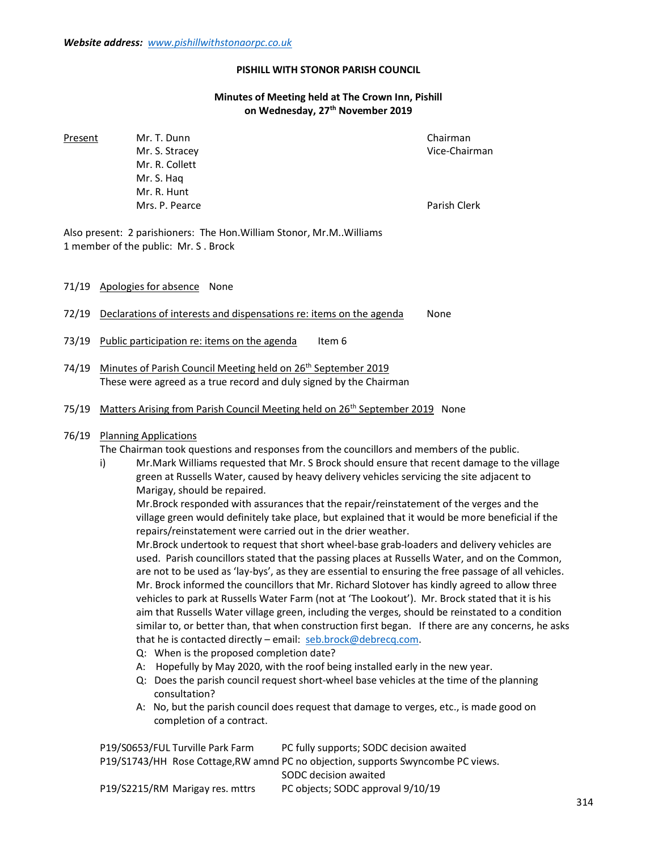## PISHILL WITH STONOR PARISH COUNCIL

## Minutes of Meeting held at The Crown Inn, Pishill on Wednesday, 27<sup>th</sup> November 2019

Present Mr. T. Dunn Chairman Chairman Mr. S. Stracey **Vice-Chairman**  Mr. R. Collett Mr. S. Haq Mr. R. Hunt Mrs. P. Pearce **Parish Clerk** Parish Clerk

Also present: 2 parishioners: The Hon.William Stonor, Mr.M..Williams 1 member of the public: Mr. S . Brock

71/19 Apologies for absence None

72/19 Declarations of interests and dispensations re: items on the agenda None

- 73/19 Public participation re: items on the agenda Item  $6$
- 74/19 Minutes of Parish Council Meeting held on 26<sup>th</sup> September 2019 These were agreed as a true record and duly signed by the Chairman
- 75/19 Matters Arising from Parish Council Meeting held on 26<sup>th</sup> September 2019 None

## 76/19 Planning Applications

The Chairman took questions and responses from the councillors and members of the public.

 i) Mr.Mark Williams requested that Mr. S Brock should ensure that recent damage to the village green at Russells Water, caused by heavy delivery vehicles servicing the site adjacent to Marigay, should be repaired.

 Mr.Brock responded with assurances that the repair/reinstatement of the verges and the village green would definitely take place, but explained that it would be more beneficial if the repairs/reinstatement were carried out in the drier weather.

 Mr.Brock undertook to request that short wheel-base grab-loaders and delivery vehicles are used. Parish councillors stated that the passing places at Russells Water, and on the Common, are not to be used as 'lay-bys', as they are essential to ensuring the free passage of all vehicles. Mr. Brock informed the councillors that Mr. Richard Slotover has kindly agreed to allow three vehicles to park at Russells Water Farm (not at 'The Lookout'). Mr. Brock stated that it is his aim that Russells Water village green, including the verges, should be reinstated to a condition similar to, or better than, that when construction first began. If there are any concerns, he asks that he is contacted directly – email: seb.brock@debrecq.com.

- Q: When is the proposed completion date?
- A: Hopefully by May 2020, with the roof being installed early in the new year.
- Q: Does the parish council request short-wheel base vehicles at the time of the planning consultation?
- A: No, but the parish council does request that damage to verges, etc., is made good on completion of a contract.

 P19/S0653/FUL Turville Park Farm PC fully supports; SODC decision awaited P19/S1743/HH Rose Cottage,RW amnd PC no objection, supports Swyncombe PC views. SODC decision awaited

P19/S2215/RM Marigay res. mttrs PC objects; SODC approval 9/10/19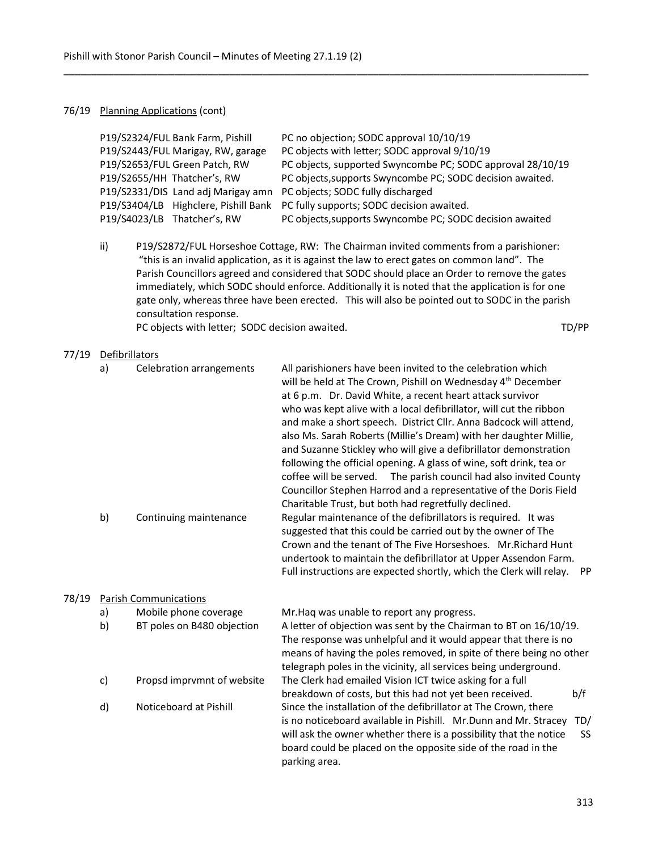#### 76/19 Planning Applications (cont)

|  | P19/S2324/FUL Bank Farm, Pishill     | PC no objection; SODC approval 10/10/19                    |
|--|--------------------------------------|------------------------------------------------------------|
|  | P19/S2443/FUL Marigay, RW, garage    | PC objects with letter; SODC approval 9/10/19              |
|  | P19/S2653/FUL Green Patch, RW        | PC objects, supported Swyncombe PC; SODC approval 28/10/19 |
|  | P19/S2655/HH Thatcher's, RW          | PC objects, supports Swyncombe PC; SODC decision awaited.  |
|  | P19/S2331/DIS Land adj Marigay amn   | PC objects; SODC fully discharged                          |
|  | P19/S3404/LB Highclere, Pishill Bank | PC fully supports; SODC decision awaited.                  |
|  | P19/S4023/LB Thatcher's, RW          | PC objects, supports Swyncombe PC; SODC decision awaited   |
|  |                                      |                                                            |

\_\_\_\_\_\_\_\_\_\_\_\_\_\_\_\_\_\_\_\_\_\_\_\_\_\_\_\_\_\_\_\_\_\_\_\_\_\_\_\_\_\_\_\_\_\_\_\_\_\_\_\_\_\_\_\_\_\_\_\_\_\_\_\_\_\_\_\_\_\_\_\_\_\_\_\_\_\_\_\_\_\_\_\_\_\_\_\_\_\_\_\_\_\_\_

 ii) P19/S2872/FUL Horseshoe Cottage, RW: The Chairman invited comments from a parishioner: "this is an invalid application, as it is against the law to erect gates on common land". The Parish Councillors agreed and considered that SODC should place an Order to remove the gates immediately, which SODC should enforce. Additionally it is noted that the application is for one gate only, whereas three have been erected. This will also be pointed out to SODC in the parish consultation response.

PC objects with letter; SODC decision awaited. The state of the state of the state of the state of the state of the state of the state of the state of the state of the state of the state of the state of the state of the st

#### 77/19 Defibrillators

| a) | <b>Celebration arrangements</b> | All parishioners have been invited to the celebration which<br>will be held at The Crown, Pishill on Wednesday 4 <sup>th</sup> December<br>at 6 p.m. Dr. David White, a recent heart attack survivor<br>who was kept alive with a local defibrillator, will cut the ribbon<br>and make a short speech. District Cllr. Anna Badcock will attend,<br>also Ms. Sarah Roberts (Millie's Dream) with her daughter Millie,<br>and Suzanne Stickley who will give a defibrillator demonstration<br>following the official opening. A glass of wine, soft drink, tea or<br>coffee will be served. The parish council had also invited County<br>Councillor Stephen Harrod and a representative of the Doris Field |
|----|---------------------------------|-----------------------------------------------------------------------------------------------------------------------------------------------------------------------------------------------------------------------------------------------------------------------------------------------------------------------------------------------------------------------------------------------------------------------------------------------------------------------------------------------------------------------------------------------------------------------------------------------------------------------------------------------------------------------------------------------------------|
| b) | Continuing maintenance          | Charitable Trust, but both had regretfully declined.<br>Regular maintenance of the defibrillators is required. It was<br>suggested that this could be carried out by the owner of The<br>Crown and the tenant of The Five Horseshoes. Mr. Richard Hunt<br>undertook to maintain the defibrillator at Upper Assendon Farm.<br>Full instructions are expected shortly, which the Clerk will relay.<br><b>PP</b>                                                                                                                                                                                                                                                                                             |

## 78/19 Parish Communications

| a)           | Mobile phone coverage      | Mr. Haq was unable to report any progress.                               |
|--------------|----------------------------|--------------------------------------------------------------------------|
| b)           | BT poles on B480 objection | A letter of objection was sent by the Chairman to BT on 16/10/19.        |
|              |                            | The response was unhelpful and it would appear that there is no          |
|              |                            | means of having the poles removed, in spite of there being no other      |
|              |                            | telegraph poles in the vicinity, all services being underground.         |
| C)           | Propsd imprymnt of website | The Clerk had emailed Vision ICT twice asking for a full                 |
|              |                            | breakdown of costs, but this had not yet been received.<br>b/f           |
| $\mathsf{d}$ | Noticeboard at Pishill     | Since the installation of the defibrillator at The Crown, there          |
|              |                            | TD/<br>is no noticeboard available in Pishill. Mr.Dunn and Mr. Stracey   |
|              |                            | will ask the owner whether there is a possibility that the notice<br>SS. |
|              |                            | board could be placed on the opposite side of the road in the            |
|              |                            | parking area.                                                            |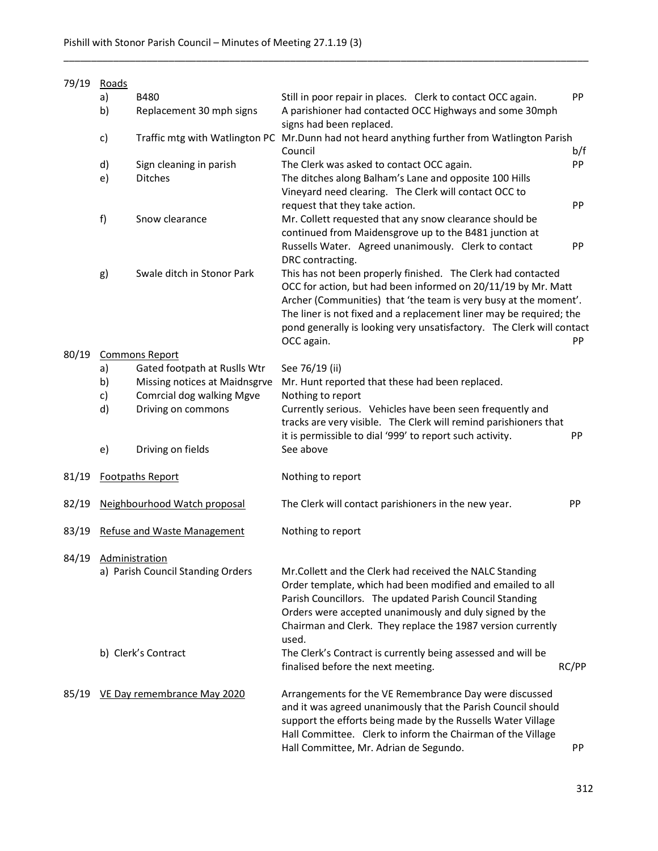| 79/19 | Roads                              |                               |                                                                                                                                                                                                                                                                                                                                                                 |           |  |  |
|-------|------------------------------------|-------------------------------|-----------------------------------------------------------------------------------------------------------------------------------------------------------------------------------------------------------------------------------------------------------------------------------------------------------------------------------------------------------------|-----------|--|--|
|       | a)                                 | B480                          | Still in poor repair in places. Clerk to contact OCC again.                                                                                                                                                                                                                                                                                                     | PP        |  |  |
|       | b)                                 | Replacement 30 mph signs      | A parishioner had contacted OCC Highways and some 30mph<br>signs had been replaced.                                                                                                                                                                                                                                                                             |           |  |  |
|       | c)                                 |                               | Traffic mtg with Watlington PC Mr.Dunn had not heard anything further from Watlington Parish<br>Council                                                                                                                                                                                                                                                         | b/f       |  |  |
|       | d)                                 | Sign cleaning in parish       | The Clerk was asked to contact OCC again.                                                                                                                                                                                                                                                                                                                       | PP        |  |  |
|       | e)                                 | <b>Ditches</b>                | The ditches along Balham's Lane and opposite 100 Hills<br>Vineyard need clearing. The Clerk will contact OCC to                                                                                                                                                                                                                                                 |           |  |  |
|       |                                    |                               | request that they take action.                                                                                                                                                                                                                                                                                                                                  | PP        |  |  |
|       | f)                                 | Snow clearance                | Mr. Collett requested that any snow clearance should be<br>continued from Maidensgrove up to the B481 junction at<br>Russells Water. Agreed unanimously. Clerk to contact                                                                                                                                                                                       | PP        |  |  |
|       |                                    |                               | DRC contracting.                                                                                                                                                                                                                                                                                                                                                |           |  |  |
| g)    |                                    | Swale ditch in Stonor Park    | This has not been properly finished. The Clerk had contacted<br>OCC for action, but had been informed on 20/11/19 by Mr. Matt<br>Archer (Communities) that 'the team is very busy at the moment'.<br>The liner is not fixed and a replacement liner may be required; the<br>pond generally is looking very unsatisfactory. The Clerk will contact<br>OCC again. | PP        |  |  |
| 80/19 | <b>Commons Report</b>              |                               |                                                                                                                                                                                                                                                                                                                                                                 |           |  |  |
|       | a)                                 | Gated footpath at Ruslls Wtr  | See 76/19 (ii)                                                                                                                                                                                                                                                                                                                                                  |           |  |  |
|       | b)                                 | Missing notices at Maidnsgrve | Mr. Hunt reported that these had been replaced.                                                                                                                                                                                                                                                                                                                 |           |  |  |
|       | c)                                 | Comrcial dog walking Mgve     | Nothing to report                                                                                                                                                                                                                                                                                                                                               |           |  |  |
|       | d)                                 | Driving on commons            | Currently serious. Vehicles have been seen frequently and<br>tracks are very visible. The Clerk will remind parishioners that<br>it is permissible to dial '999' to report such activity.                                                                                                                                                                       | PP        |  |  |
|       | e)                                 | Driving on fields             | See above                                                                                                                                                                                                                                                                                                                                                       |           |  |  |
| 81/19 |                                    | <b>Footpaths Report</b>       | Nothing to report                                                                                                                                                                                                                                                                                                                                               |           |  |  |
| 82/19 |                                    | Neighbourhood Watch proposal  | The Clerk will contact parishioners in the new year.                                                                                                                                                                                                                                                                                                            | PP        |  |  |
| 83/19 | <b>Refuse and Waste Management</b> |                               | Nothing to report                                                                                                                                                                                                                                                                                                                                               |           |  |  |
| 84/19 | <b>Administration</b>              |                               |                                                                                                                                                                                                                                                                                                                                                                 |           |  |  |
|       | a) Parish Council Standing Orders  |                               | Mr. Collett and the Clerk had received the NALC Standing<br>Order template, which had been modified and emailed to all<br>Parish Councillors. The updated Parish Council Standing<br>Orders were accepted unanimously and duly signed by the<br>Chairman and Clerk. They replace the 1987 version currently                                                     |           |  |  |
|       | b) Clerk's Contract                |                               | used.<br>The Clerk's Contract is currently being assessed and will be                                                                                                                                                                                                                                                                                           |           |  |  |
|       |                                    |                               | finalised before the next meeting.                                                                                                                                                                                                                                                                                                                              | RC/PP     |  |  |
| 85/19 | VE Day remembrance May 2020        |                               | Arrangements for the VE Remembrance Day were discussed<br>and it was agreed unanimously that the Parish Council should<br>support the efforts being made by the Russells Water Village<br>Hall Committee. Clerk to inform the Chairman of the Village<br>Hall Committee, Mr. Adrian de Segundo.                                                                 | <b>PP</b> |  |  |

\_\_\_\_\_\_\_\_\_\_\_\_\_\_\_\_\_\_\_\_\_\_\_\_\_\_\_\_\_\_\_\_\_\_\_\_\_\_\_\_\_\_\_\_\_\_\_\_\_\_\_\_\_\_\_\_\_\_\_\_\_\_\_\_\_\_\_\_\_\_\_\_\_\_\_\_\_\_\_\_\_\_\_\_\_\_\_\_\_\_\_\_\_\_\_